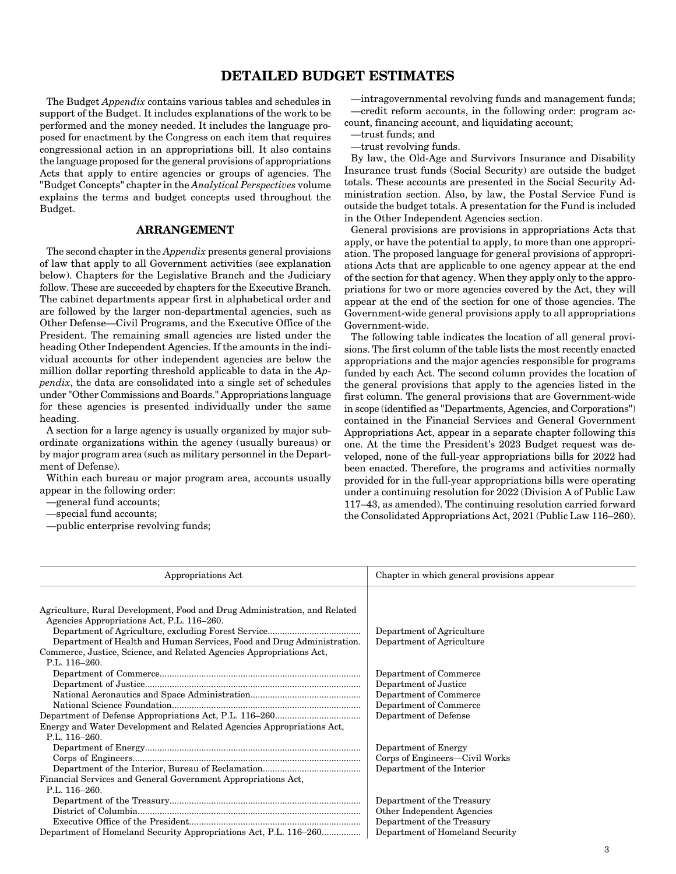# **DETAILED BUDGET ESTIMATES**

The Budget Appendix contains various tables and schedules in support of the Budget. It includes explanations of the work to be performed and the money needed. It includes the language proposed for enactment by the Congress on each item that requires congressional action in an appropriations bill. It also contains the language proposed for the general provisions of appropriations Acts that apply to entire agencies or groups of agencies. The "Budget Concepts" chapter in the Analytical Perspectives volume explains the terms and budget concepts used throughout the Budget.

# **ARRANGEMENT**

The second chapter in the *Appendix* presents general provisions of law that apply to all Government activities (see explanation below). Chapters for the Legislative Branch and the Judiciary follow. These are succeeded by chapters for the Executive Branch. The cabinet departments appear first in alphabetical order and are followed by the larger non-departmental agencies, such as Other Defense—Civil Programs, and the Executive Office of the President. The remaining small agencies are listed under the heading Other Independent Agencies. If the amounts in the individual accounts for other independent agencies are below the million dollar reporting threshold applicable to data in the Appendix, the data are consolidated into a single set of schedules under "Other Commissions and Boards." Appropriations language for these agencies is presented individually under the same heading.

A section for a large agency is usually organized by major subordinate organizations within the agency (usually bureaus) or by major program area (such as military personnel in the Department of Defense).

Within each bureau or major program area, accounts usually appear in the following order:

—general fund accounts;

—special fund accounts;

—public enterprise revolving funds;

—intragovernmental revolving funds and management funds; —credit reform accounts, in the following order: program account, financing account, and liquidating account;

—trust funds; and

—trust revolving funds.

By law, the Old-Age and Survivors Insurance and Disability Insurance trust funds (Social Security) are outside the budget totals. These accounts are presented in the Social Security Administration section. Also, by law, the Postal Service Fund is outside the budget totals. A presentation for the Fund is included in the Other Independent Agencies section.

General provisions are provisions in appropriations Acts that apply, or have the potential to apply, to more than one appropriation. The proposed language for general provisions of appropriations Acts that are applicable to one agency appear at the end of the section for that agency. When they apply only to the appropriations for two or more agencies covered by the Act, they will appear at the end of the section for one of those agencies. The Government-wide general provisions apply to all appropriations Government-wide.

The following table indicates the location of all general provisions. The first column of the table lists the most recently enacted appropriations and the major agencies responsible for programs funded by each Act. The second column provides the location of the general provisions that apply to the agencies listed in the first column. The general provisions that are Government-wide in scope (identified as "Departments, Agencies, and Corporations") contained in the Financial Services and General Government Appropriations Act, appear in a separate chapter following this one. At the time the President's 2023 Budget request was developed, none of the full-year appropriations bills for 2022 had been enacted. Therefore, the programs and activities normally provided for in the full-year appropriations bills were operating under a continuing resolution for 2022 (Division A of Public Law 117–43, as amended). The continuing resolution carried forward the Consolidated Appropriations Act, 2021 (Public Law 116–260).

| Appropriations Act                                                                                                                                                                                                                                                                         | Chapter in which general provisions appear                                                                                   |
|--------------------------------------------------------------------------------------------------------------------------------------------------------------------------------------------------------------------------------------------------------------------------------------------|------------------------------------------------------------------------------------------------------------------------------|
| Agriculture, Rural Development, Food and Drug Administration, and Related<br>Agencies Appropriations Act, P.L. 116–260.<br>Department of Health and Human Services, Food and Drug Administration.<br>Commerce, Justice, Science, and Related Agencies Appropriations Act,<br>P.L. 116-260. | Department of Agriculture<br>Department of Agriculture                                                                       |
| Energy and Water Development and Related Agencies Appropriations Act,                                                                                                                                                                                                                      | Department of Commerce<br>Department of Justice<br>Department of Commerce<br>Department of Commerce<br>Department of Defense |
| $P.I. 116 - 260.$<br>Financial Services and General Government Appropriations Act,<br>P.L. $116-260$ .                                                                                                                                                                                     | Department of Energy<br>Corps of Engineers—Civil Works<br>Department of the Interior                                         |
| Department of Homeland Security Appropriations Act, P.L. 116-260                                                                                                                                                                                                                           | Department of the Treasury<br>Other Independent Agencies<br>Department of the Treasury<br>Department of Homeland Security    |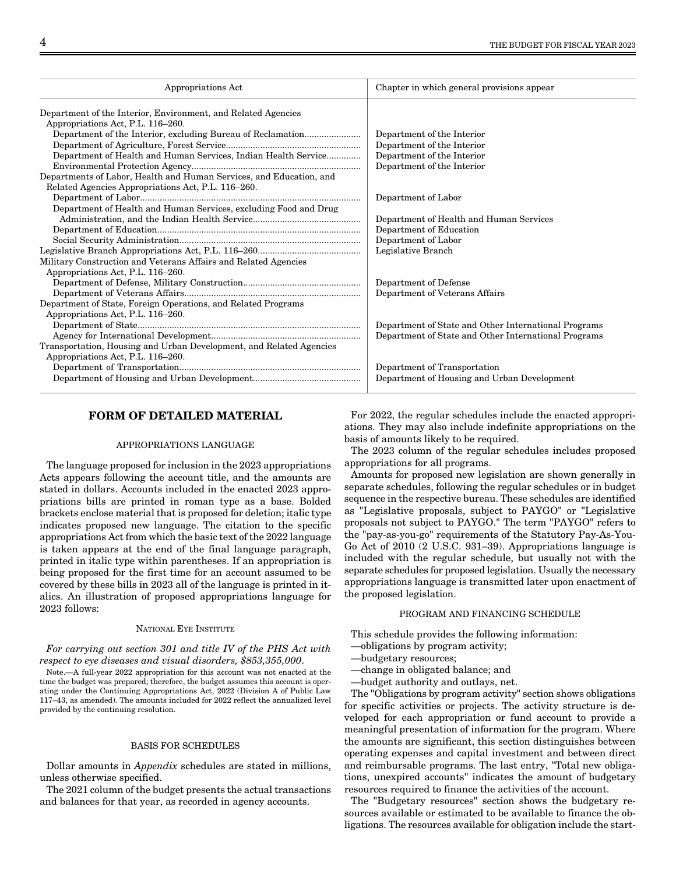| Appropriations Act                                                                                 | Chapter in which general provisions appear           |
|----------------------------------------------------------------------------------------------------|------------------------------------------------------|
| Department of the Interior, Environment, and Related Agencies                                      |                                                      |
| Appropriations Act, P.L. 116-260.                                                                  |                                                      |
|                                                                                                    | Department of the Interior                           |
|                                                                                                    | Department of the Interior                           |
| Department of Health and Human Services, Indian Health Service                                     | Department of the Interior                           |
|                                                                                                    | Department of the Interior                           |
| Departments of Labor, Health and Human Services, and Education, and                                |                                                      |
| Related Agencies Appropriations Act, P.L. 116-260.                                                 |                                                      |
|                                                                                                    | Department of Labor                                  |
| Department of Health and Human Services, excluding Food and Drug                                   |                                                      |
|                                                                                                    | Department of Health and Human Services              |
|                                                                                                    | Department of Education                              |
|                                                                                                    | Department of Labor                                  |
|                                                                                                    | Legislative Branch                                   |
| Military Construction and Veterans Affairs and Related Agencies                                    |                                                      |
| Appropriations Act, P.L. 116–260.                                                                  |                                                      |
|                                                                                                    | Department of Defense                                |
|                                                                                                    | Department of Veterans Affairs                       |
| Department of State, Foreign Operations, and Related Programs<br>Appropriations Act, P.L. 116–260. |                                                      |
|                                                                                                    | Department of State and Other International Programs |
|                                                                                                    | Department of State and Other International Programs |
| Transportation, Housing and Urban Development, and Related Agencies                                |                                                      |
| Appropriations Act, P.L. 116-260.                                                                  |                                                      |
|                                                                                                    | Department of Transportation                         |
|                                                                                                    | Department of Housing and Urban Development          |

## **FORM OF DETAILED MATERIAL**

### APPROPRIATIONS LANGUAGE

The language proposed for inclusion in the 2023 appropriations Acts appears following the account title, and the amounts are stated in dollars. Accounts included in the enacted 2023 appropriations bills are printed in roman type as a base. Bolded brackets enclose material that is proposed for deletion; italic type indicates proposed new language. The citation to the specific appropriations Act from which the basic text of the 2022 language is taken appears at the end of the final language paragraph, printed in italic type within parentheses. If an appropriation is being proposed for the first time for an account assumed to be covered by these bills in 2023 all of the language is printed in italics. An illustration of proposed appropriations language for 2023 follows:

### NATIONAL EYE INSTITUTE

For carrying out section 301 and title IV of the PHS Act with respect to eye diseases and visual disorders, \$853,355,000.

Note.—A full-year 2022 appropriation for this account was not enacted at the time the budget was prepared; therefore, the budget assumes this account is operating under the Continuing Appropriations Act, 2022 (Division A of Public Law 117–43, as amended). The amounts included for 2022 reflect the annualized level provided by the continuing resolution.

## BASIS FOR SCHEDULES

Dollar amounts in Appendix schedules are stated in millions, unless otherwise specified.

The 2021 column of the budget presents the actual transactions and balances for that year, as recorded in agency accounts.

For 2022, the regular schedules include the enacted appropriations. They may also include indefinite appropriations on the basis of amounts likely to be required.

The 2023 column of the regular schedules includes proposed appropriations for all programs.

Amounts for proposed new legislation are shown generally in separate schedules, following the regular schedules or in budget sequence in the respective bureau. These schedules are identified as "Legislative proposals, subject to PAYGO" or "Legislative proposals not subject to PAYGO." The term "PAYGO" refers to the "pay-as-you-go" requirements of the Statutory Pay-As-You-Go Act of 2010 (2 U.S.C. 931–39). Appropriations language is included with the regular schedule, but usually not with the separate schedules for proposed legislation. Usually the necessary appropriations language is transmitted later upon enactment of the proposed legislation.

### PROGRAM AND FINANCING SCHEDULE

This schedule provides the following information:

- —obligations by program activity;
- —budgetary resources;
- —change in obligated balance; and

—budget authority and outlays, net.

The "Obligations by program activity" section shows obligations for specific activities or projects. The activity structure is developed for each appropriation or fund account to provide a meaningful presentation of information for the program. Where the amounts are significant, this section distinguishes between operating expenses and capital investment and between direct and reimbursable programs. The last entry, "Total new obligations, unexpired accounts" indicates the amount of budgetary resources required to finance the activities of the account.

The "Budgetary resources" section shows the budgetary resources available or estimated to be available to finance the obligations. The resources available for obligation include the start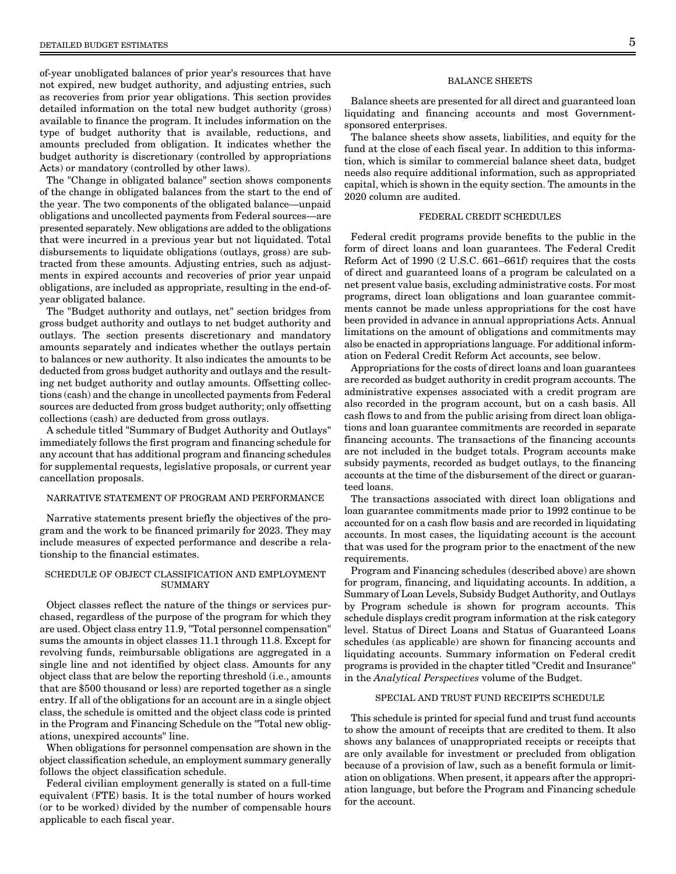of-year unobligated balances of prior year's resources that have not expired, new budget authority, and adjusting entries, such as recoveries from prior year obligations. This section provides detailed information on the total new budget authority (gross) available to finance the program. It includes information on the type of budget authority that is available, reductions, and amounts precluded from obligation. It indicates whether the budget authority is discretionary (controlled by appropriations Acts) or mandatory (controlled by other laws).

The "Change in obligated balance" section shows components of the change in obligated balances from the start to the end of the year. The two components of the obligated balance—unpaid obligations and uncollected payments from Federal sources—are presented separately. New obligations are added to the obligations that were incurred in a previous year but not liquidated. Total disbursements to liquidate obligations (outlays, gross) are subtracted from these amounts. Adjusting entries, such as adjustments in expired accounts and recoveries of prior year unpaid obligations, are included as appropriate, resulting in the end-ofyear obligated balance.

The "Budget authority and outlays, net" section bridges from gross budget authority and outlays to net budget authority and outlays. The section presents discretionary and mandatory amounts separately and indicates whether the outlays pertain to balances or new authority. It also indicates the amounts to be deducted from gross budget authority and outlays and the resulting net budget authority and outlay amounts. Offsetting collections (cash) and the change in uncollected payments from Federal sources are deducted from gross budget authority; only offsetting collections (cash) are deducted from gross outlays.

A schedule titled "Summary of Budget Authority and Outlays" immediately follows the first program and financing schedule for any account that has additional program and financing schedules for supplemental requests, legislative proposals, or current year cancellation proposals.

## NARRATIVE STATEMENT OF PROGRAM AND PERFORMANCE

Narrative statements present briefly the objectives of the program and the work to be financed primarily for 2023. They may include measures of expected performance and describe a relationship to the financial estimates.

### SCHEDULE OF OBJECT CLASSIFICATION AND EMPLOYMENT **SUMMARY**

Object classes reflect the nature of the things or services purchased, regardless of the purpose of the program for which they are used. Object class entry 11.9, "Total personnel compensation" sums the amounts in object classes 11.1 through 11.8. Except for revolving funds, reimbursable obligations are aggregated in a single line and not identified by object class. Amounts for any object class that are below the reporting threshold (i.e., amounts that are \$500 thousand or less) are reported together as a single entry. If all of the obligations for an account are in a single object class, the schedule is omitted and the object class code is printed in the Program and Financing Schedule on the "Total new obligations, unexpired accounts" line.

When obligations for personnel compensation are shown in the object classification schedule, an employment summary generally follows the object classification schedule.

Federal civilian employment generally is stated on a full-time equivalent (FTE) basis. It is the total number of hours worked (or to be worked) divided by the number of compensable hours applicable to each fiscal year.

### BALANCE SHEETS

Balance sheets are presented for all direct and guaranteed loan liquidating and financing accounts and most Governmentsponsored enterprises.

The balance sheets show assets, liabilities, and equity for the fund at the close of each fiscal year. In addition to this information, which is similar to commercial balance sheet data, budget needs also require additional information, such as appropriated capital, which is shown in the equity section. The amounts in the 2020 column are audited.

## FEDERAL CREDIT SCHEDULES

Federal credit programs provide benefits to the public in the form of direct loans and loan guarantees. The Federal Credit Reform Act of 1990 (2 U.S.C. 661–661f) requires that the costs of direct and guaranteed loans of a program be calculated on a net present value basis, excluding administrative costs. For most programs, direct loan obligations and loan guarantee commitments cannot be made unless appropriations for the cost have been provided in advance in annual appropriations Acts. Annual limitations on the amount of obligations and commitments may also be enacted in appropriations language. For additional information on Federal Credit Reform Act accounts, see below.

Appropriations for the costs of direct loans and loan guarantees are recorded as budget authority in credit program accounts. The administrative expenses associated with a credit program are also recorded in the program account, but on a cash basis. All cash flows to and from the public arising from direct loan obligations and loan guarantee commitments are recorded in separate financing accounts. The transactions of the financing accounts are not included in the budget totals. Program accounts make subsidy payments, recorded as budget outlays, to the financing accounts at the time of the disbursement of the direct or guaranteed loans.

The transactions associated with direct loan obligations and loan guarantee commitments made prior to 1992 continue to be accounted for on a cash flow basis and are recorded in liquidating accounts. In most cases, the liquidating account is the account that was used for the program prior to the enactment of the new requirements.

Program and Financing schedules (described above) are shown for program, financing, and liquidating accounts. In addition, a Summary of Loan Levels, Subsidy Budget Authority, and Outlays by Program schedule is shown for program accounts. This schedule displays credit program information at the risk category level. Status of Direct Loans and Status of Guaranteed Loans schedules (as applicable) are shown for financing accounts and liquidating accounts. Summary information on Federal credit programs is provided in the chapter titled "Credit and Insurance'' in the Analytical Perspectives volume of the Budget.

## SPECIAL AND TRUST FUND RECEIPTS SCHEDULE

This schedule is printed for special fund and trust fund accounts to show the amount of receipts that are credited to them. It also shows any balances of unappropriated receipts or receipts that are only available for investment or precluded from obligation because of a provision of law, such as a benefit formula or limitation on obligations. When present, it appears after the appropriation language, but before the Program and Financing schedule for the account.